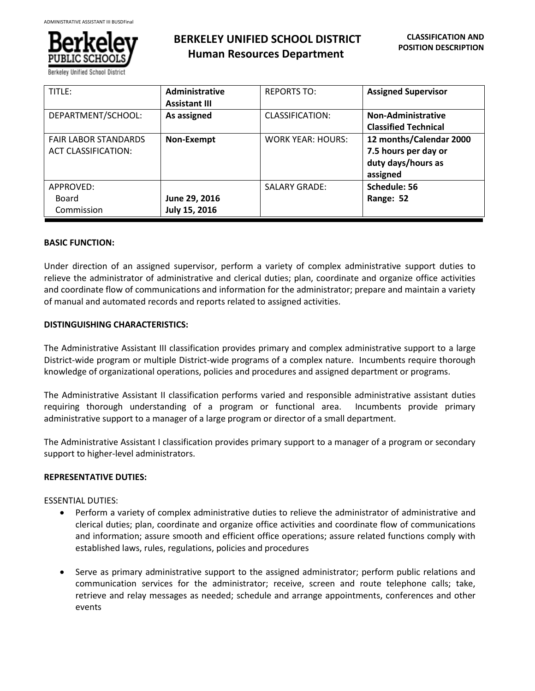

| TITLE:                                                    | <b>Administrative</b><br><b>Assistant III</b> | <b>REPORTS TO:</b>       | <b>Assigned Supervisor</b>                                                        |
|-----------------------------------------------------------|-----------------------------------------------|--------------------------|-----------------------------------------------------------------------------------|
| DEPARTMENT/SCHOOL:                                        | As assigned                                   | CLASSIFICATION:          | <b>Non-Administrative</b><br><b>Classified Technical</b>                          |
| <b>FAIR LABOR STANDARDS</b><br><b>ACT CLASSIFICATION:</b> | Non-Exempt                                    | <b>WORK YEAR: HOURS:</b> | 12 months/Calendar 2000<br>7.5 hours per day or<br>duty days/hours as<br>assigned |
| APPROVED:<br>Board<br>Commission                          | June 29, 2016<br>July 15, 2016                | <b>SALARY GRADE:</b>     | Schedule: 56<br>Range: 52                                                         |

### **BASIC FUNCTION:**

Under direction of an assigned supervisor, perform a variety of complex administrative support duties to relieve the administrator of administrative and clerical duties; plan, coordinate and organize office activities and coordinate flow of communications and information for the administrator; prepare and maintain a variety of manual and automated records and reports related to assigned activities.

# **DISTINGUISHING CHARACTERISTICS:**

The Administrative Assistant III classification provides primary and complex administrative support to a large District-wide program or multiple District-wide programs of a complex nature. Incumbents require thorough knowledge of organizational operations, policies and procedures and assigned department or programs.

The Administrative Assistant II classification performs varied and responsible administrative assistant duties requiring thorough understanding of a program or functional area. Incumbents provide primary administrative support to a manager of a large program or director of a small department.

The Administrative Assistant I classification provides primary support to a manager of a program or secondary support to higher-level administrators.

# **REPRESENTATIVE DUTIES:**

#### ESSENTIAL DUTIES:

- Perform a variety of complex administrative duties to relieve the administrator of administrative and clerical duties; plan, coordinate and organize office activities and coordinate flow of communications and information; assure smooth and efficient office operations; assure related functions comply with established laws, rules, regulations, policies and procedures
- Serve as primary administrative support to the assigned administrator; perform public relations and communication services for the administrator; receive, screen and route telephone calls; take, retrieve and relay messages as needed; schedule and arrange appointments, conferences and other events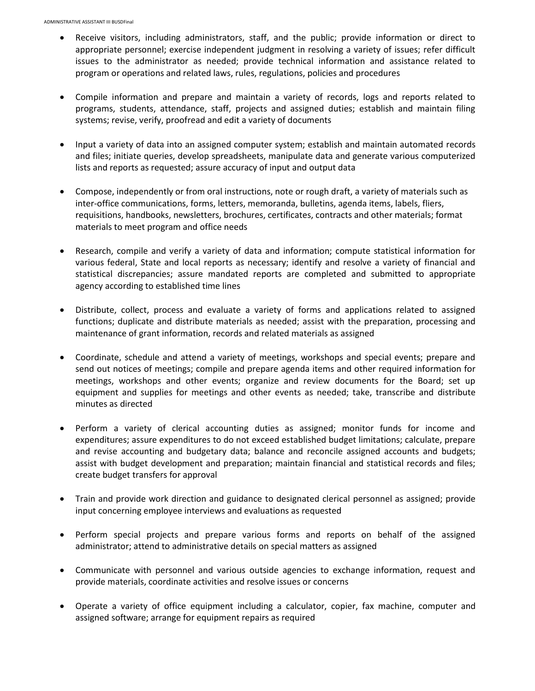- Receive visitors, including administrators, staff, and the public; provide information or direct to appropriate personnel; exercise independent judgment in resolving a variety of issues; refer difficult issues to the administrator as needed; provide technical information and assistance related to program or operations and related laws, rules, regulations, policies and procedures
- Compile information and prepare and maintain a variety of records, logs and reports related to programs, students, attendance, staff, projects and assigned duties; establish and maintain filing systems; revise, verify, proofread and edit a variety of documents
- Input a variety of data into an assigned computer system; establish and maintain automated records and files; initiate queries, develop spreadsheets, manipulate data and generate various computerized lists and reports as requested; assure accuracy of input and output data
- Compose, independently or from oral instructions, note or rough draft, a variety of materials such as inter-office communications, forms, letters, memoranda, bulletins, agenda items, labels, fliers, requisitions, handbooks, newsletters, brochures, certificates, contracts and other materials; format materials to meet program and office needs
- Research, compile and verify a variety of data and information; compute statistical information for various federal, State and local reports as necessary; identify and resolve a variety of financial and statistical discrepancies; assure mandated reports are completed and submitted to appropriate agency according to established time lines
- Distribute, collect, process and evaluate a variety of forms and applications related to assigned functions; duplicate and distribute materials as needed; assist with the preparation, processing and maintenance of grant information, records and related materials as assigned
- Coordinate, schedule and attend a variety of meetings, workshops and special events; prepare and send out notices of meetings; compile and prepare agenda items and other required information for meetings, workshops and other events; organize and review documents for the Board; set up equipment and supplies for meetings and other events as needed; take, transcribe and distribute minutes as directed
- Perform a variety of clerical accounting duties as assigned; monitor funds for income and expenditures; assure expenditures to do not exceed established budget limitations; calculate, prepare and revise accounting and budgetary data; balance and reconcile assigned accounts and budgets; assist with budget development and preparation; maintain financial and statistical records and files; create budget transfers for approval
- Train and provide work direction and guidance to designated clerical personnel as assigned; provide input concerning employee interviews and evaluations as requested
- Perform special projects and prepare various forms and reports on behalf of the assigned administrator; attend to administrative details on special matters as assigned
- Communicate with personnel and various outside agencies to exchange information, request and provide materials, coordinate activities and resolve issues or concerns
- Operate a variety of office equipment including a calculator, copier, fax machine, computer and assigned software; arrange for equipment repairs as required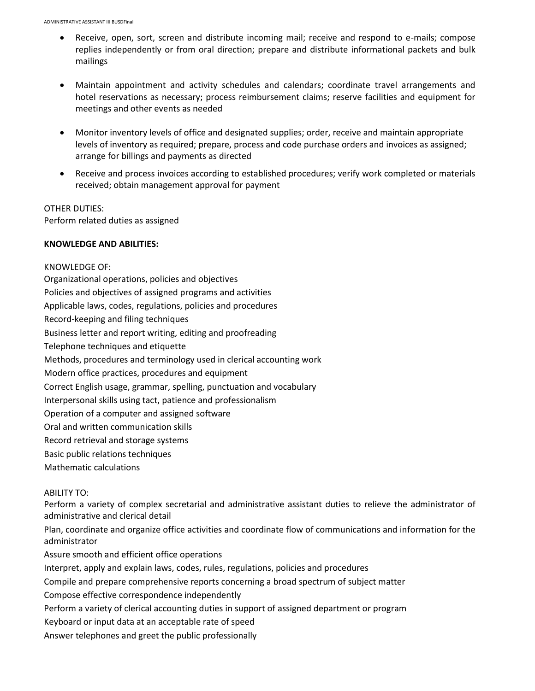- Receive, open, sort, screen and distribute incoming mail; receive and respond to e-mails; compose replies independently or from oral direction; prepare and distribute informational packets and bulk mailings
- Maintain appointment and activity schedules and calendars; coordinate travel arrangements and hotel reservations as necessary; process reimbursement claims; reserve facilities and equipment for meetings and other events as needed
- Monitor inventory levels of office and designated supplies; order, receive and maintain appropriate levels of inventory as required; prepare, process and code purchase orders and invoices as assigned; arrange for billings and payments as directed
- Receive and process invoices according to established procedures; verify work completed or materials received; obtain management approval for payment

### OTHER DUTIES:

Perform related duties as assigned

### **KNOWLEDGE AND ABILITIES:**

KNOWLEDGE OF: Organizational operations, policies and objectives Policies and objectives of assigned programs and activities Applicable laws, codes, regulations, policies and procedures Record-keeping and filing techniques Business letter and report writing, editing and proofreading Telephone techniques and etiquette Methods, procedures and terminology used in clerical accounting work Modern office practices, procedures and equipment Correct English usage, grammar, spelling, punctuation and vocabulary Interpersonal skills using tact, patience and professionalism Operation of a computer and assigned software Oral and written communication skills Record retrieval and storage systems Basic public relations techniques Mathematic calculations ABILITY TO:

Perform a variety of complex secretarial and administrative assistant duties to relieve the administrator of administrative and clerical detail

Plan, coordinate and organize office activities and coordinate flow of communications and information for the administrator

Assure smooth and efficient office operations

Interpret, apply and explain laws, codes, rules, regulations, policies and procedures

Compile and prepare comprehensive reports concerning a broad spectrum of subject matter

Compose effective correspondence independently

Perform a variety of clerical accounting duties in support of assigned department or program

Keyboard or input data at an acceptable rate of speed

Answer telephones and greet the public professionally